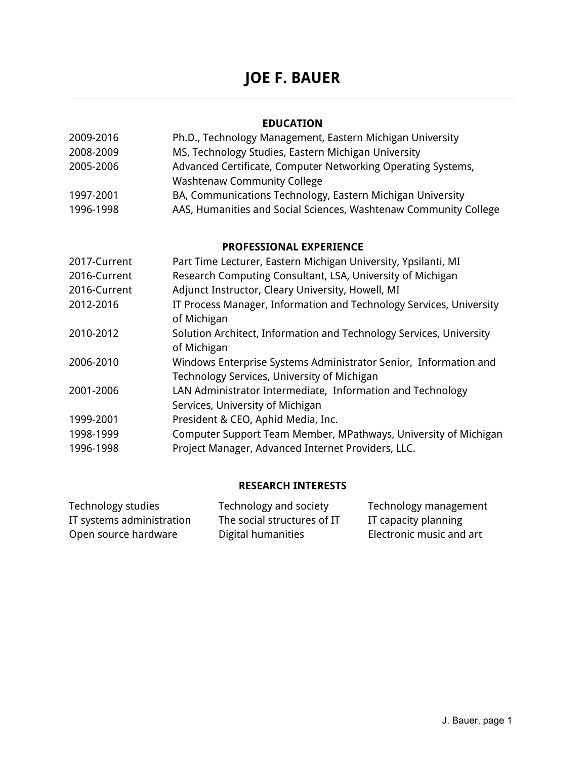# **JOE F. BAUER**

## **EDUCATION**

| 2009-2016 | Ph.D., Technology Management, Eastern Michigan University        |
|-----------|------------------------------------------------------------------|
| 2008-2009 | MS, Technology Studies, Eastern Michigan University              |
| 2005-2006 | Advanced Certificate, Computer Networking Operating Systems,     |
|           | <b>Washtenaw Community College</b>                               |
| 1997-2001 | BA, Communications Technology, Eastern Michigan University       |
| 1996-1998 | AAS, Humanities and Social Sciences, Washtenaw Community College |

## **PROFESSIONAL EXPERIENCE**

| 2017-Current | Part Time Lecturer, Eastern Michigan University, Ypsilanti, MI                                                  |
|--------------|-----------------------------------------------------------------------------------------------------------------|
| 2016-Current | Research Computing Consultant, LSA, University of Michigan                                                      |
| 2016-Current | Adjunct Instructor, Cleary University, Howell, MI                                                               |
| 2012-2016    | IT Process Manager, Information and Technology Services, University<br>of Michigan                              |
| 2010-2012    | Solution Architect, Information and Technology Services, University<br>of Michigan                              |
| 2006-2010    | Windows Enterprise Systems Administrator Senior, Information and<br>Technology Services, University of Michigan |
| 2001-2006    | LAN Administrator Intermediate, Information and Technology<br>Services, University of Michigan                  |
| 1999-2001    | President & CEO, Aphid Media, Inc.                                                                              |
| 1998-1999    | Computer Support Team Member, MPathways, University of Michigan                                                 |
| 1996-1998    | Project Manager, Advanced Internet Providers, LLC.                                                              |

# **RESEARCH INTERESTS**

| Technology studies        | Technology and society      | Technology management    |
|---------------------------|-----------------------------|--------------------------|
| IT systems administration | The social structures of IT | IT capacity planning     |
| Open source hardware      | Digital humanities          | Electronic music and art |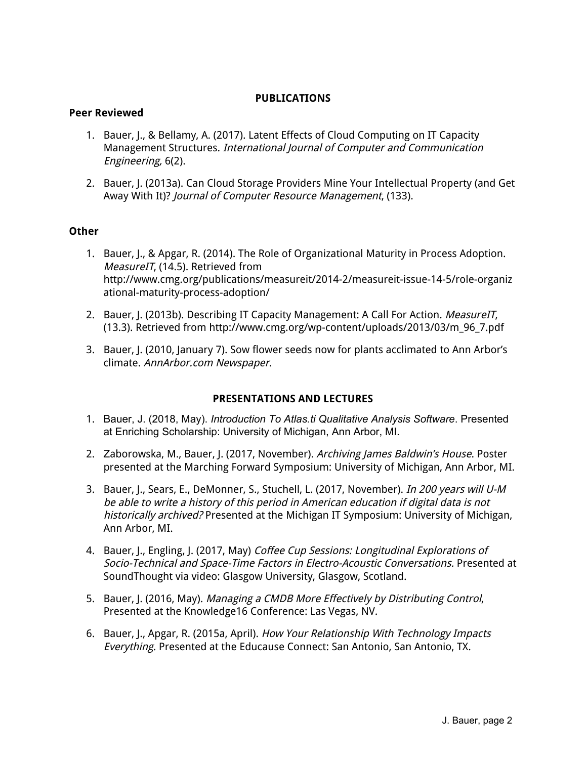#### **PUBLICATIONS**

#### **Peer Reviewed**

- 1. Bauer, J., & Bellamy, A. (2017). Latent Effects of Cloud Computing on IT Capacity Management Structures. International Journal of Computer and Communication Engineering, 6(2).
- 2. Bauer, J. (2013a). Can Cloud Storage Providers Mine Your Intellectual Property (and Get Away With It)? Journal of Computer Resource Management, (133).

#### **Other**

- 1. Bauer, J., & Apgar, R. (2014). The Role of Organizational Maturity in Process Adoption. MeasureIT, (14.5). Retrieved from http://www.cmg.org/publications/measureit/2014-2/measureit-issue-14-5/role-organiz ational-maturity-process-adoption/
- 2. Bauer, J. (2013b). Describing IT Capacity Management: A Call For Action. MeasureIT, (13.3). Retrieved from http://www.cmg.org/wp-content/uploads/2013/03/m\_96\_7.pdf
- 3. Bauer, J. (2010, January 7). Sow flower seeds now for plants acclimated to Ann Arbor's climate. AnnArbor.com Newspaper.

#### **PRESENTATIONS AND LECTURES**

- 1. Bauer, J. (2018, May). *Introduction To Atlas.ti Qualitative Analysis Software*. Presented at Enriching Scholarship: University of Michigan, Ann Arbor, MI.
- 2. Zaborowska, M., Bauer, J. (2017, November). [Archiving](https://drive.google.com/file/d/1zCosttVjQMKjD6IxmPYv80GbS4Fz1TlE/view) James Baldwin's House. Poster presented at the Marching Forward Symposium: University of Michigan, Ann Arbor, MI.
- 3. Bauer, J., Sears, E., DeMonner, S., Stuchell, L. (2017, November). In 200 years will U-M be able to write <sup>a</sup> history of this period in American education if digital data is not historically archived? Presented at the Michigan IT Symposium: University of Michigan, Ann Arbor, MI.
- 4. Bauer, J., Engling, J. (2017, May) Coffee Cup Sessions: Longitudinal Explorations of Socio-Technical and Space-Time Factors in Electro-Acoustic Conversations. Presented at SoundThought via video: Glasgow University, Glasgow, Scotland.
- 5. Bauer, J. (2016, May). Managing <sup>a</sup> CMDB More Effectively by Distributing Control, Presented at the Knowledge16 Conference: Las Vegas, NV.
- 6. Bauer, J., Apgar, R. (2015a, April). How Your Relationship With Technology Impacts Everything. Presented at the Educause Connect: San Antonio, San Antonio, TX.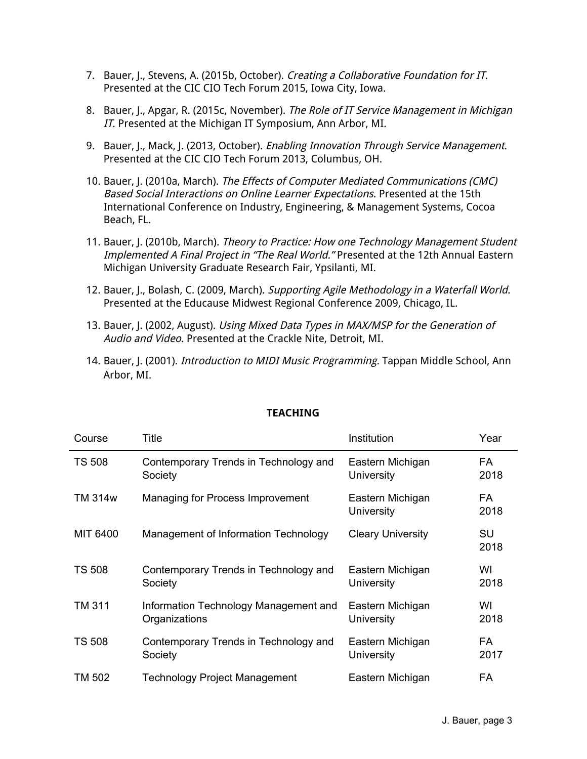- 7. Bauer, J., Stevens, A. (2015b, October). Creating a Collaborative Foundation for IT. Presented at the CIC CIO Tech Forum 2015, Iowa City, Iowa.
- 8. Bauer, J., Apgar, R. (2015c, November). The Role of IT Service Management in Michigan IT. Presented at the Michigan IT Symposium, Ann Arbor, MI.
- 9. Bauer, J., Mack, J. (2013, October). *Enabling Innovation Through Service Management*. Presented at the CIC CIO Tech Forum 2013, Columbus, OH.
- 10. Bauer, J. (2010a, March). The Effects of Computer Mediated Communications (CMC) Based Social Interactions on Online Learner Expectations. Presented at the 15th International Conference on Industry, Engineering, & Management Systems, Cocoa Beach, FL.
- 11. Bauer, J. (2010b, March). Theory to Practice: How one Technology Management Student Implemented A Final Project in "The Real World." Presented at the 12th Annual Eastern Michigan University Graduate Research Fair, Ypsilanti, MI.
- 12. Bauer, J., Bolash, C. (2009, March). Supporting Agile Methodology in a Waterfall World. Presented at the Educause Midwest Regional Conference 2009, Chicago, IL.
- 13. Bauer, J. (2002, August). Using Mixed Data Types in MAX/MSP for the Generation of Audio and Video. Presented at the Crackle Nite, Detroit, MI.
- 14. Bauer, J. (2001). *Introduction to MIDI Music Programming*. Tappan Middle School, Ann Arbor, MI.

| Course        | Title                                 | Institution                           | Year              |
|---------------|---------------------------------------|---------------------------------------|-------------------|
| <b>TS 508</b> | Contemporary Trends in Technology and | Eastern Michigan                      | <b>FA</b>         |
|               | Society                               | University                            | 2018              |
| TM 314w       | Managing for Process Improvement      | Eastern Michigan<br><b>University</b> | FA<br>2018        |
| MIT 6400      | Management of Information Technology  | <b>Cleary University</b>              | <b>SU</b><br>2018 |
| <b>TS 508</b> | Contemporary Trends in Technology and | Eastern Michigan                      | WI                |
|               | Society                               | University                            | 2018              |
| <b>TM 311</b> | Information Technology Management and | Eastern Michigan                      | WI                |
|               | Organizations                         | University                            | 2018              |
| <b>TS 508</b> | Contemporary Trends in Technology and | Eastern Michigan                      | <b>FA</b>         |
|               | Society                               | <b>University</b>                     | 2017              |
| TM 502        | Technology Project Management         | Eastern Michigan                      | <b>FA</b>         |

## **TEACHING**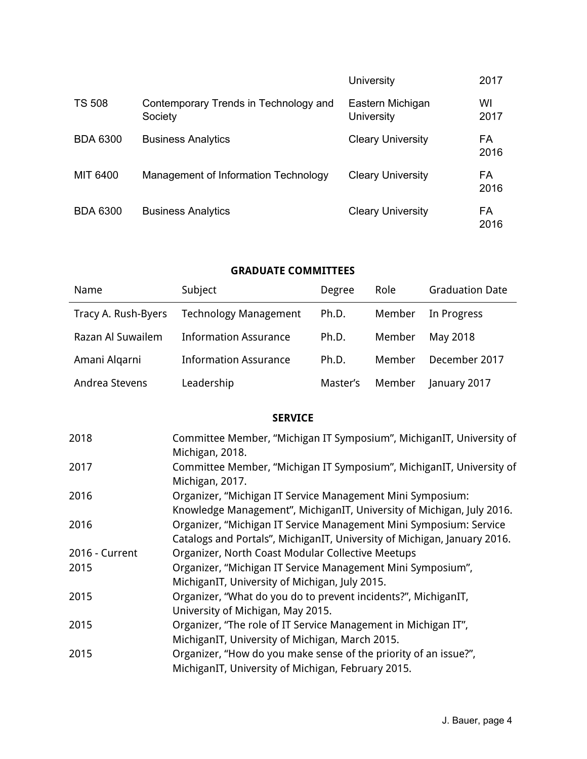|                 |                                                  | <b>University</b>                     | 2017       |
|-----------------|--------------------------------------------------|---------------------------------------|------------|
| <b>TS 508</b>   | Contemporary Trends in Technology and<br>Society | Eastern Michigan<br><b>University</b> | WI<br>2017 |
| <b>BDA 6300</b> | <b>Business Analytics</b>                        | <b>Cleary University</b>              | FA<br>2016 |
| MIT 6400        | Management of Information Technology             | <b>Cleary University</b>              | FA<br>2016 |
| <b>BDA 6300</b> | <b>Business Analytics</b>                        | <b>Cleary University</b>              | FA<br>2016 |

# **GRADUATE COMMITTEES**

| Name                | Subject                      | Degree   | Role   | <b>Graduation Date</b> |
|---------------------|------------------------------|----------|--------|------------------------|
| Tracy A. Rush-Byers | <b>Technology Management</b> | Ph.D.    | Member | In Progress            |
| Razan Al Suwailem   | <b>Information Assurance</b> | Ph.D.    | Member | May 2018               |
| Amani Algarni       | <b>Information Assurance</b> | Ph.D.    | Member | December 2017          |
| Andrea Stevens      | Leadership                   | Master's | Member | January 2017           |

# **SERVICE**

| 2018           | Committee Member, "Michigan IT Symposium", MichiganIT, University of     |
|----------------|--------------------------------------------------------------------------|
|                | Michigan, 2018.                                                          |
| 2017           | Committee Member, "Michigan IT Symposium", MichiganIT, University of     |
|                | Michigan, 2017.                                                          |
| 2016           | Organizer, "Michigan IT Service Management Mini Symposium:               |
|                | Knowledge Management", MichiganIT, University of Michigan, July 2016.    |
| 2016           | Organizer, "Michigan IT Service Management Mini Symposium: Service       |
|                | Catalogs and Portals", MichiganIT, University of Michigan, January 2016. |
| 2016 - Current | Organizer, North Coast Modular Collective Meetups                        |
| 2015           | Organizer, "Michigan IT Service Management Mini Symposium",              |
|                | MichiganIT, University of Michigan, July 2015.                           |
| 2015           | Organizer, "What do you do to prevent incidents?", MichiganIT,           |
|                | University of Michigan, May 2015.                                        |
| 2015           | Organizer, "The role of IT Service Management in Michigan IT",           |
|                | MichiganIT, University of Michigan, March 2015.                          |
| 2015           | Organizer, "How do you make sense of the priority of an issue?",         |
|                | MichiganIT, University of Michigan, February 2015.                       |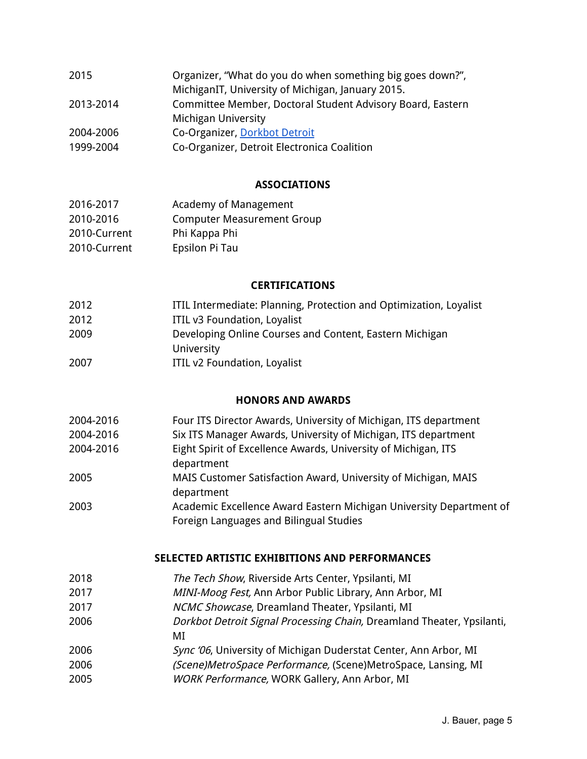| 2015      | Organizer, "What do you do when something big goes down?", |
|-----------|------------------------------------------------------------|
|           | MichiganIT, University of Michigan, January 2015.          |
| 2013-2014 | Committee Member, Doctoral Student Advisory Board, Eastern |
|           | Michigan University                                        |
| 2004-2006 | Co-Organizer, Dorkbot Detroit                              |
| 1999-2004 | Co-Organizer, Detroit Electronica Coalition                |
|           |                                                            |

# **ASSOCIATIONS**

| 2016-2017    | Academy of Management             |
|--------------|-----------------------------------|
| 2010-2016    | <b>Computer Measurement Group</b> |
| 2010-Current | Phi Kappa Phi                     |
| 2010-Current | Epsilon Pi Tau                    |

## **CERTIFICATIONS**

| 2012 | ITIL Intermediate: Planning, Protection and Optimization, Loyalist |
|------|--------------------------------------------------------------------|
| 2012 | ITIL v3 Foundation, Loyalist                                       |
| 2009 | Developing Online Courses and Content, Eastern Michigan            |
|      | University                                                         |
| 2007 | ITIL v2 Foundation, Loyalist                                       |

## **HONORS AND AWARDS**

| 2004-2016 | Four ITS Director Awards, University of Michigan, ITS department                                               |
|-----------|----------------------------------------------------------------------------------------------------------------|
| 2004-2016 | Six ITS Manager Awards, University of Michigan, ITS department                                                 |
| 2004-2016 | Eight Spirit of Excellence Awards, University of Michigan, ITS<br>department                                   |
| 2005      | MAIS Customer Satisfaction Award, University of Michigan, MAIS<br>department                                   |
| 2003      | Academic Excellence Award Eastern Michigan University Department of<br>Foreign Languages and Bilingual Studies |

## **SELECTED ARTISTIC EXHIBITIONS AND PERFORMANCES**

| 2018 | The Tech Show, Riverside Arts Center, Ypsilanti, MI                    |
|------|------------------------------------------------------------------------|
| 2017 | MINI-Moog Fest, Ann Arbor Public Library, Ann Arbor, MI                |
| 2017 | NCMC Showcase, Dreamland Theater, Ypsilanti, MI                        |
| 2006 | Dorkbot Detroit Signal Processing Chain, Dreamland Theater, Ypsilanti, |
|      | МI                                                                     |
| 2006 | Sync '06, University of Michigan Duderstat Center, Ann Arbor, MI       |
| 2006 | (Scene)MetroSpace Performance, (Scene)MetroSpace, Lansing, MI          |
| 2005 | <b>WORK Performance, WORK Gallery, Ann Arbor, MI</b>                   |
|      |                                                                        |